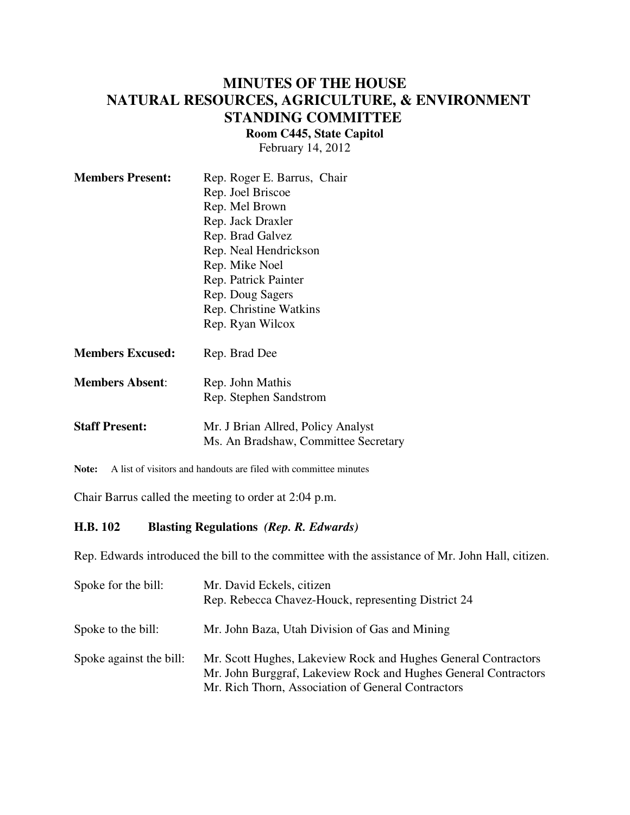# **MINUTES OF THE HOUSE NATURAL RESOURCES, AGRICULTURE, & ENVIRONMENT STANDING COMMITTEE**

**Room C445, State Capitol**

February 14, 2012

| <b>Members Present:</b> | Rep. Roger E. Barrus, Chair                                                |
|-------------------------|----------------------------------------------------------------------------|
|                         | Rep. Joel Briscoe                                                          |
|                         | Rep. Mel Brown                                                             |
|                         | Rep. Jack Draxler                                                          |
|                         | Rep. Brad Galvez                                                           |
|                         | Rep. Neal Hendrickson                                                      |
|                         | Rep. Mike Noel                                                             |
|                         | Rep. Patrick Painter                                                       |
|                         | Rep. Doug Sagers                                                           |
|                         | Rep. Christine Watkins                                                     |
|                         | Rep. Ryan Wilcox                                                           |
| <b>Members Excused:</b> | Rep. Brad Dee                                                              |
| <b>Members Absent:</b>  | Rep. John Mathis                                                           |
|                         | Rep. Stephen Sandstrom                                                     |
| <b>Staff Present:</b>   | Mr. J Brian Allred, Policy Analyst<br>Ms. An Bradshaw, Committee Secretary |

**Note:** A list of visitors and handouts are filed with committee minutes

Chair Barrus called the meeting to order at 2:04 p.m.

### **H.B. 102 Blasting Regulations** *(Rep. R. Edwards)*

Rep. Edwards introduced the bill to the committee with the assistance of Mr. John Hall, citizen.

| Spoke for the bill:     | Mr. David Eckels, citizen<br>Rep. Rebecca Chavez-Houck, representing District 24                                                                                                        |
|-------------------------|-----------------------------------------------------------------------------------------------------------------------------------------------------------------------------------------|
| Spoke to the bill:      | Mr. John Baza, Utah Division of Gas and Mining                                                                                                                                          |
| Spoke against the bill: | Mr. Scott Hughes, Lakeview Rock and Hughes General Contractors<br>Mr. John Burggraf, Lakeview Rock and Hughes General Contractors<br>Mr. Rich Thorn, Association of General Contractors |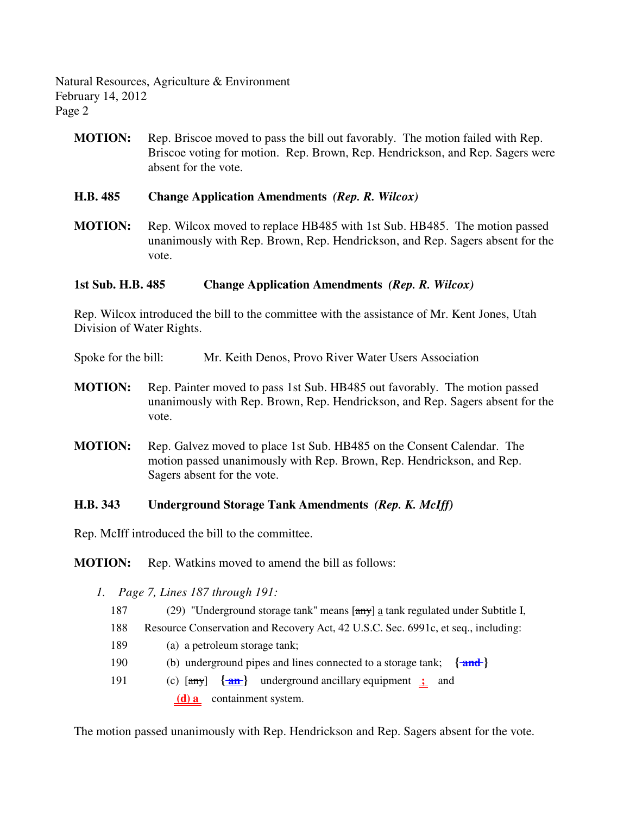Natural Resources, Agriculture & Environment February 14, 2012 Page 2

**MOTION:** Rep. Briscoe moved to pass the bill out favorably. The motion failed with Rep. Briscoe voting for motion. Rep. Brown, Rep. Hendrickson, and Rep. Sagers were absent for the vote.

### **H.B. 485 Change Application Amendments** *(Rep. R. Wilcox)*

**MOTION:** Rep. Wilcox moved to replace HB485 with 1st Sub. HB485. The motion passed unanimously with Rep. Brown, Rep. Hendrickson, and Rep. Sagers absent for the vote.

### **1st Sub. H.B. 485 Change Application Amendments** *(Rep. R. Wilcox)*

Rep. Wilcox introduced the bill to the committee with the assistance of Mr. Kent Jones, Utah Division of Water Rights.

Spoke for the bill: Mr. Keith Denos, Provo River Water Users Association

- **MOTION:** Rep. Painter moved to pass 1st Sub. HB485 out favorably. The motion passed unanimously with Rep. Brown, Rep. Hendrickson, and Rep. Sagers absent for the vote.
- **MOTION:** Rep. Galvez moved to place 1st Sub. HB485 on the Consent Calendar. The motion passed unanimously with Rep. Brown, Rep. Hendrickson, and Rep. Sagers absent for the vote.

## **H.B. 343 Underground Storage Tank Amendments** *(Rep. K. McIff)*

Rep. McIff introduced the bill to the committee.

**MOTION:** Rep. Watkins moved to amend the bill as follows:

- *1. Page 7, Lines 187 through 191:*
	- 187 (29) "Underground storage tank" means [any] a tank regulated under Subtitle I,
	- 188 Resource Conservation and Recovery Act, 42 U.S.C. Sec. 6991c, et seq., including:
	- 189 (a) a petroleum storage tank;
	- 190 (b) underground pipes and lines connected to a storage tank; **{ and }**
	- 191 (c) [any] **{ an }** underground ancillary equipment **;** and  **(d) a** containment system.

The motion passed unanimously with Rep. Hendrickson and Rep. Sagers absent for the vote.